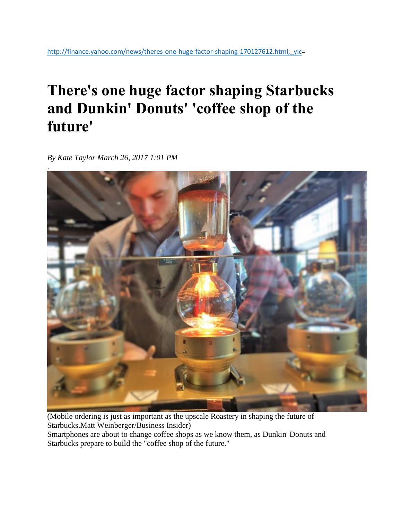## **There's one huge factor shaping Starbucks and Dunkin' Donuts' 'coffee shop of the future'**

*By Kate Taylor March 26, 2017 1:01 PM*



(Mobile ordering is just as important as the upscale Roastery in shaping the future of Starbucks.Matt Weinberger/Business Insider) Smartphones are about to change coffee shops as we know them, as Dunkin' Donuts and Starbucks prepare to build the "coffee shop of the future."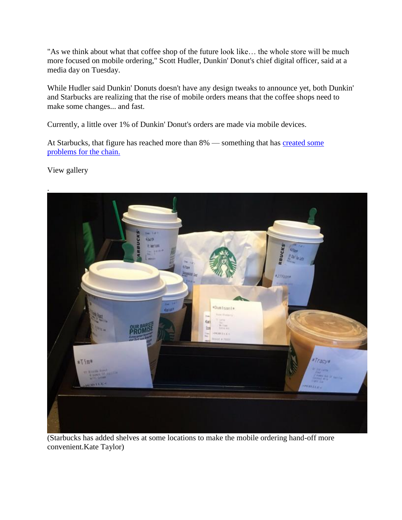"As we think about what that coffee shop of the future look like… the whole store will be much more focused on mobile ordering," Scott Hudler, Dunkin' Donut's chief digital officer, said at a media day on Tuesday.

While Hudler said Dunkin' Donuts doesn't have any design tweaks to announce yet, both Dunkin' and Starbucks are realizing that the rise of mobile orders means that the coffee shops need to make some changes... and fast.

Currently, a little over 1% of Dunkin' Donut's orders are made via mobile devices.

At Starbucks, that figure has reached more than 8% — something that has [created some](http://www.businessinsider.com/starbucks-mobile-payment-review-2017-3)  [problems for the chain.](http://www.businessinsider.com/starbucks-mobile-payment-review-2017-3)

View gallery



(Starbucks has added shelves at some locations to make the mobile ordering hand-off more convenient.Kate Taylor)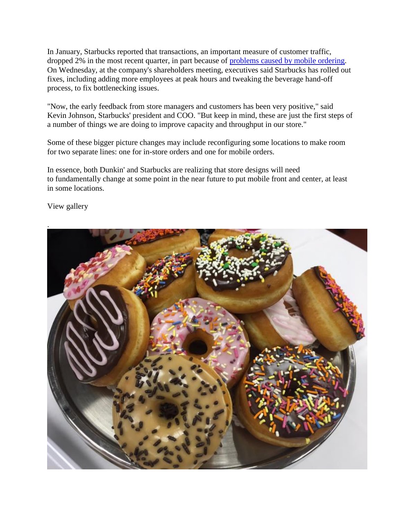In January, Starbucks reported that transactions, an important measure of customer traffic, dropped 2% in the most recent quarter, in part because of [problems caused by mobile ordering.](http://www.businessinsider.com/starbucks-mobile-ordering-problems-2017-1) On Wednesday, at the company's shareholders meeting, executives said Starbucks has rolled out fixes, including adding more employees at peak hours and tweaking the beverage hand-off process, to fix bottlenecking issues.

"Now, the early feedback from store managers and customers has been very positive," said Kevin Johnson, Starbucks' president and COO. "But keep in mind, these are just the first steps of a number of things we are doing to improve capacity and throughput in our store."

Some of these bigger picture changes may include reconfiguring some locations to make room for two separate lines: one for in-store orders and one for mobile orders.

In essence, both Dunkin' and Starbucks are realizing that store designs will need to fundamentally change at some point in the near future to put mobile front and center, at least in some locations.

View gallery